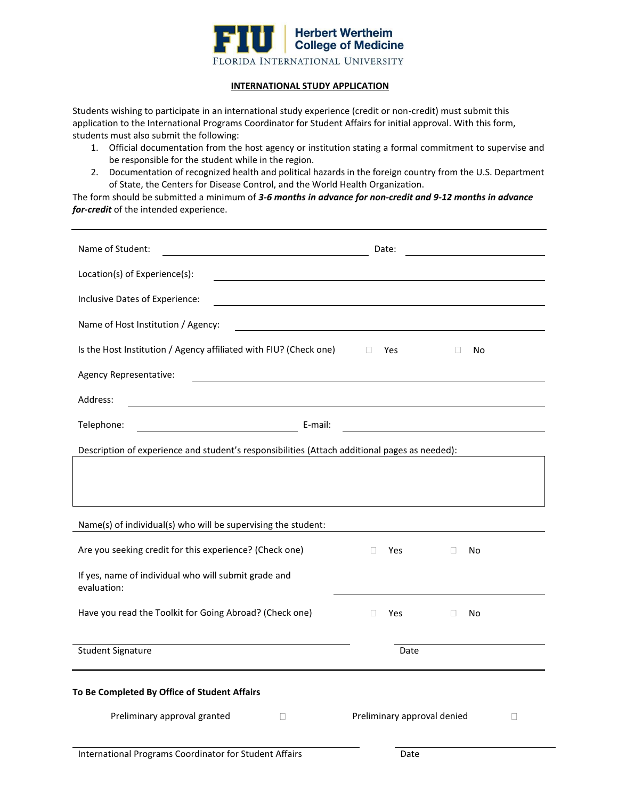

### **INTERNATIONAL STUDY APPLICATION**

Students wishing to participate in an international study experience (credit or non-credit) must submit this application to the International Programs Coordinator for Student Affairs for initial approval. With this form, students must also submit the following:

- 1. Official documentation from the host agency or institution stating a formal commitment to supervise and be responsible for the student while in the region.
- 2. Documentation of recognized health and political hazards in the foreign country from the U.S. Department of State, the Centers for Disease Control, and the World Health Organization.

The form should be submitted a minimum of *3-6 months in advance for non-credit and 9-12 months in advance for-credit* of the intended experience.

| Name of Student:<br><u> 1980 - Johann Barn, mars ann an t-Amhainn an t-Amhainn an t-Amhainn an t-Amhainn an t-Amhainn an t-Amhainn an</u> |         |        | Date:                       |              |    |        |
|-------------------------------------------------------------------------------------------------------------------------------------------|---------|--------|-----------------------------|--------------|----|--------|
| Location(s) of Experience(s):                                                                                                             |         |        |                             |              |    |        |
| Inclusive Dates of Experience:                                                                                                            |         |        |                             |              |    |        |
| Name of Host Institution / Agency:                                                                                                        |         |        |                             |              |    |        |
| Is the Host Institution / Agency affiliated with FIU? (Check one)                                                                         |         | $\Box$ | Yes                         | O            | No |        |
| Agency Representative:                                                                                                                    |         |        |                             |              |    |        |
| Address:<br><u> 1980 - Johann Stoff, deutscher Stoffen und der Stoffen und der Stoffen und der Stoffen und der Stoffen und der</u>        |         |        |                             |              |    |        |
| Telephone:                                                                                                                                | E-mail: |        |                             |              |    |        |
| Description of experience and student's responsibilities (Attach additional pages as needed):                                             |         |        |                             |              |    |        |
|                                                                                                                                           |         |        |                             |              |    |        |
|                                                                                                                                           |         |        |                             |              |    |        |
| Name(s) of individual(s) who will be supervising the student:                                                                             |         |        |                             |              |    |        |
| Are you seeking credit for this experience? (Check one)                                                                                   |         | П.     | Yes                         | $\mathbf{L}$ | No |        |
| If yes, name of individual who will submit grade and<br>evaluation:                                                                       |         |        |                             |              |    |        |
| Have you read the Toolkit for Going Abroad? (Check one)                                                                                   |         | П      | Yes                         | $\Box$       | No |        |
| <b>Student Signature</b>                                                                                                                  |         |        | Date                        |              |    |        |
| To Be Completed By Office of Student Affairs                                                                                              |         |        |                             |              |    |        |
| Preliminary approval granted<br>П                                                                                                         |         |        | Preliminary approval denied |              |    | $\Box$ |
| International Programs Coordinator for Student Affairs                                                                                    |         |        | Date                        |              |    |        |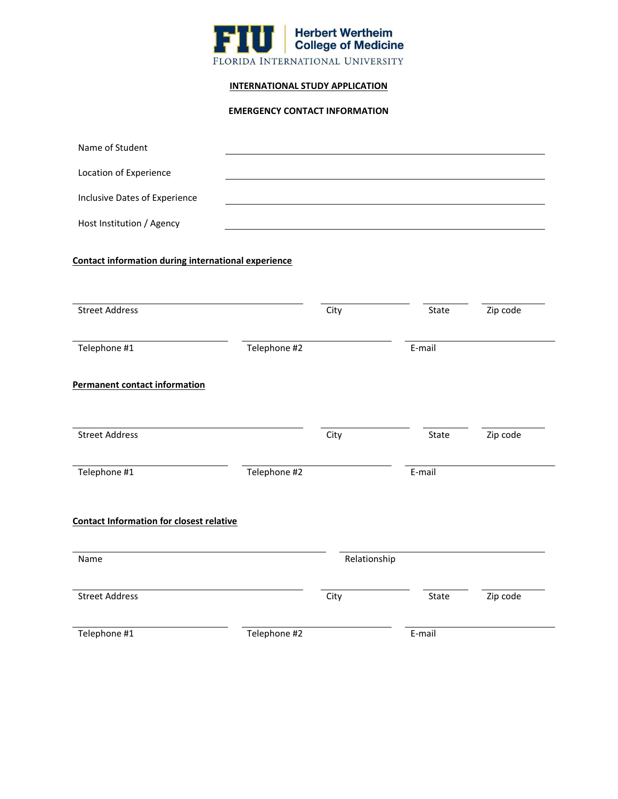

## **INTERNATIONAL STUDY APPLICATION**

# **EMERGENCY CONTACT INFORMATION**

| Name of Student                                     |              |              |        |          |
|-----------------------------------------------------|--------------|--------------|--------|----------|
| Location of Experience                              |              |              |        |          |
| Inclusive Dates of Experience                       |              |              |        |          |
| Host Institution / Agency                           |              |              |        |          |
| Contact information during international experience |              |              |        |          |
| <b>Street Address</b>                               |              | City         | State  | Zip code |
| Telephone #1                                        | Telephone #2 |              | E-mail |          |
| <b>Permanent contact information</b>                |              |              |        |          |
| <b>Street Address</b>                               |              | City         | State  | Zip code |
| Telephone #1                                        | Telephone #2 |              | E-mail |          |
| <b>Contact Information for closest relative</b>     |              |              |        |          |
| Name                                                |              | Relationship |        |          |
| <b>Street Address</b>                               |              | City         | State  | Zip code |
| Telephone #1                                        | Telephone #2 |              | E-mail |          |